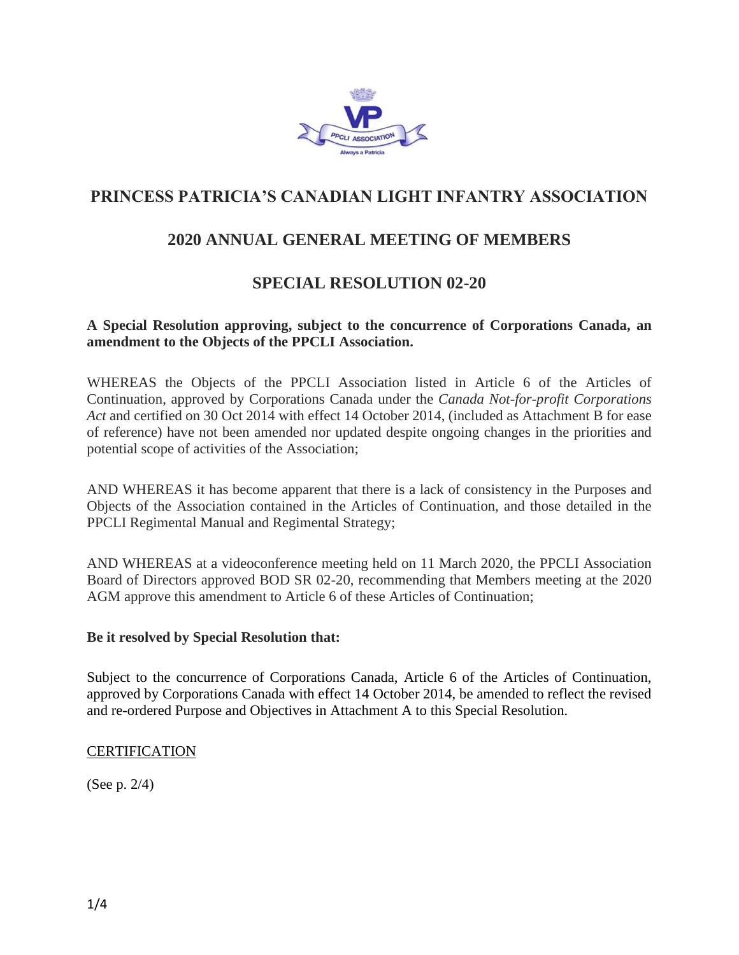

# **PRINCESS PATRICIA'S CANADIAN LIGHT INFANTRY ASSOCIATION**

# **2020 ANNUAL GENERAL MEETING OF MEMBERS**

### **SPECIAL RESOLUTION 02-20**

#### **A Special Resolution approving, subject to the concurrence of Corporations Canada, an amendment to the Objects of the PPCLI Association.**

WHEREAS the Objects of the PPCLI Association listed in Article 6 of the Articles of Continuation, approved by Corporations Canada under the *Canada Not-for-profit Corporations Act* and certified on 30 Oct 2014 with effect 14 October 2014, (included as Attachment B for ease of reference) have not been amended nor updated despite ongoing changes in the priorities and potential scope of activities of the Association;

AND WHEREAS it has become apparent that there is a lack of consistency in the Purposes and Objects of the Association contained in the Articles of Continuation, and those detailed in the PPCLI Regimental Manual and Regimental Strategy;

AND WHEREAS at a videoconference meeting held on 11 March 2020, the PPCLI Association Board of Directors approved BOD SR 02-20, recommending that Members meeting at the 2020 AGM approve this amendment to Article 6 of these Articles of Continuation;

#### **Be it resolved by Special Resolution that:**

Subject to the concurrence of Corporations Canada, Article 6 of the Articles of Continuation, approved by Corporations Canada with effect 14 October 2014, be amended to reflect the revised and re-ordered Purpose and Objectives in Attachment A to this Special Resolution.

#### **CERTIFICATION**

(See p. 2/4)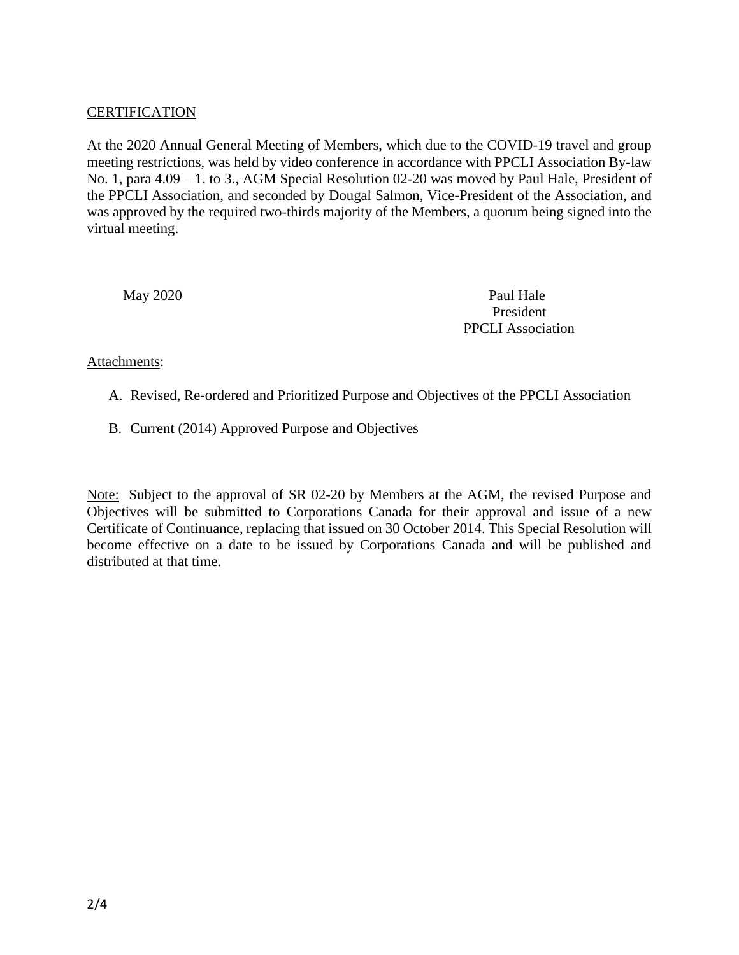#### **CERTIFICATION**

At the 2020 Annual General Meeting of Members, which due to the COVID-19 travel and group meeting restrictions, was held by video conference in accordance with PPCLI Association By-law No. 1, para 4.09 – 1. to 3., AGM Special Resolution 02-20 was moved by Paul Hale, President of the PPCLI Association, and seconded by Dougal Salmon, Vice-President of the Association, and was approved by the required two-thirds majority of the Members, a quorum being signed into the virtual meeting.

May 2020 Paul Hale President PPCLI Association

#### Attachments:

- A. Revised, Re-ordered and Prioritized Purpose and Objectives of the PPCLI Association
- B. Current (2014) Approved Purpose and Objectives

Note: Subject to the approval of SR 02-20 by Members at the AGM, the revised Purpose and Objectives will be submitted to Corporations Canada for their approval and issue of a new Certificate of Continuance, replacing that issued on 30 October 2014. This Special Resolution will become effective on a date to be issued by Corporations Canada and will be published and distributed at that time.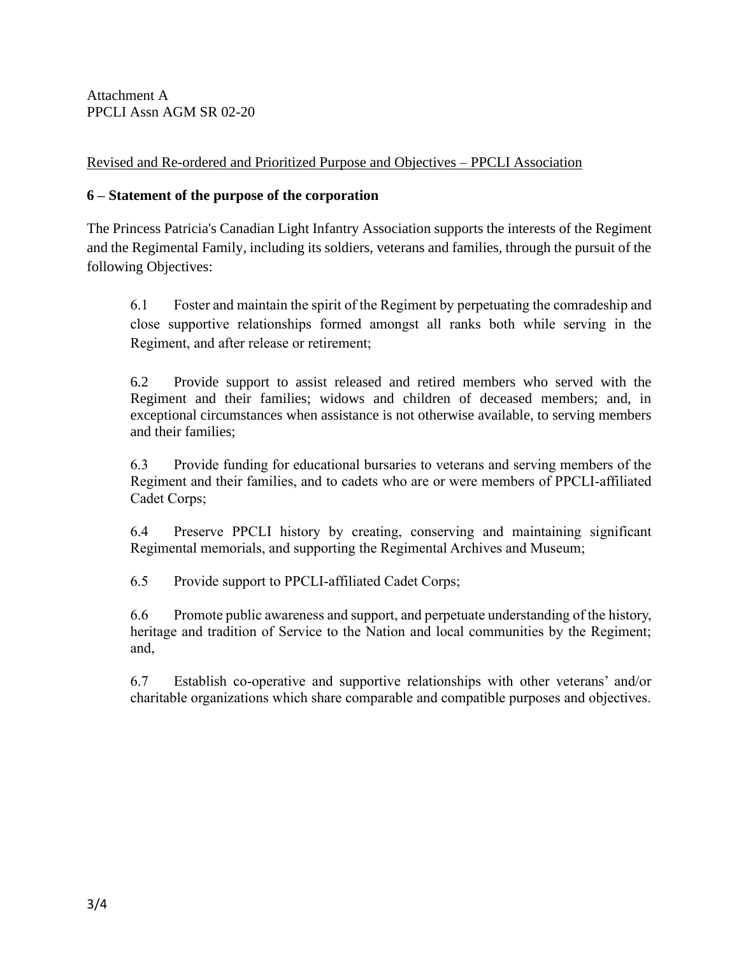Attachment A PPCLI Assn AGM SR 02-20

Revised and Re-ordered and Prioritized Purpose and Objectives – PPCLI Association

### **6 – Statement of the purpose of the corporation**

The Princess Patricia's Canadian Light Infantry Association supports the interests of the Regiment and the Regimental Family, including its soldiers, veterans and families, through the pursuit of the following Objectives:

6.1 Foster and maintain the spirit of the Regiment by perpetuating the comradeship and close supportive relationships formed amongst all ranks both while serving in the Regiment, and after release or retirement;

6.2 Provide support to assist released and retired members who served with the Regiment and their families; widows and children of deceased members; and, in exceptional circumstances when assistance is not otherwise available, to serving members and their families;

6.3 Provide funding for educational bursaries to veterans and serving members of the Regiment and their families, and to cadets who are or were members of PPCLI-affiliated Cadet Corps;

6.4 Preserve PPCLI history by creating, conserving and maintaining significant Regimental memorials, and supporting the Regimental Archives and Museum;

6.5 Provide support to PPCLI-affiliated Cadet Corps;

6.6 Promote public awareness and support, and perpetuate understanding of the history, heritage and tradition of Service to the Nation and local communities by the Regiment; and,

6.7 Establish co-operative and supportive relationships with other veterans' and/or charitable organizations which share comparable and compatible purposes and objectives.